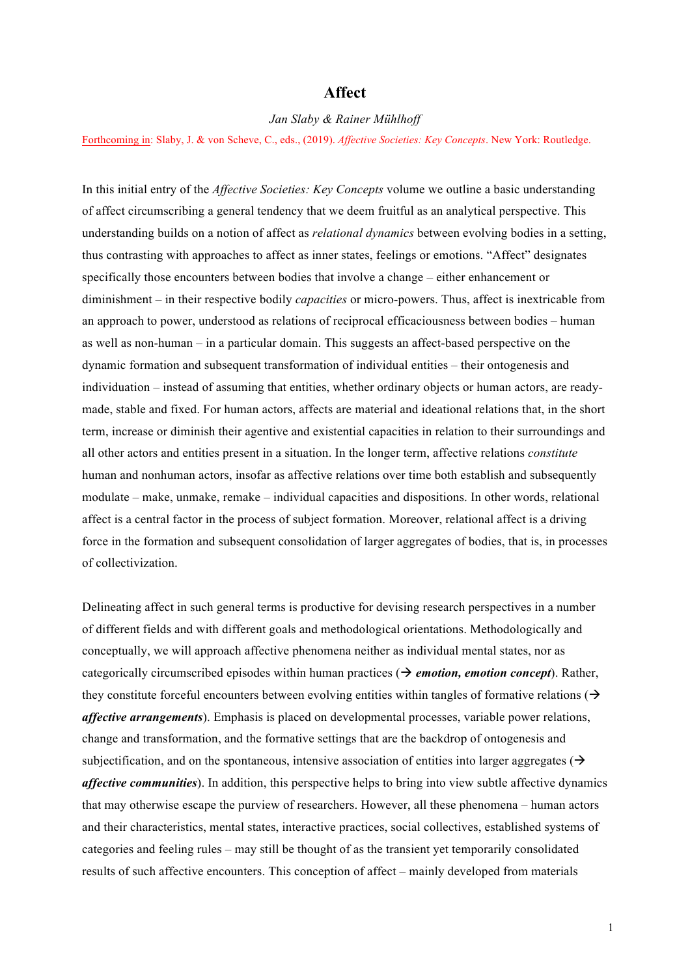## **Affect**

#### *Jan Slaby & Rainer Mühlhoff*

Forthcoming in: Slaby, J. & von Scheve, C., eds., (2019). *Affective Societies: Key Concepts*. New York: Routledge.

In this initial entry of the *Affective Societies: Key Concepts* volume we outline a basic understanding of affect circumscribing a general tendency that we deem fruitful as an analytical perspective. This understanding builds on a notion of affect as *relational dynamics* between evolving bodies in a setting, thus contrasting with approaches to affect as inner states, feelings or emotions. "Affect" designates specifically those encounters between bodies that involve a change – either enhancement or diminishment – in their respective bodily *capacities* or micro-powers. Thus, affect is inextricable from an approach to power, understood as relations of reciprocal efficaciousness between bodies – human as well as non-human – in a particular domain. This suggests an affect-based perspective on the dynamic formation and subsequent transformation of individual entities – their ontogenesis and individuation – instead of assuming that entities, whether ordinary objects or human actors, are readymade, stable and fixed. For human actors, affects are material and ideational relations that, in the short term, increase or diminish their agentive and existential capacities in relation to their surroundings and all other actors and entities present in a situation. In the longer term, affective relations *constitute* human and nonhuman actors, insofar as affective relations over time both establish and subsequently modulate – make, unmake, remake – individual capacities and dispositions. In other words, relational affect is a central factor in the process of subject formation. Moreover, relational affect is a driving force in the formation and subsequent consolidation of larger aggregates of bodies, that is, in processes of collectivization.

Delineating affect in such general terms is productive for devising research perspectives in a number of different fields and with different goals and methodological orientations. Methodologically and conceptually, we will approach affective phenomena neither as individual mental states, nor as categorically circumscribed episodes within human practices ( $\rightarrow$  *emotion, emotion concept*). Rather, they constitute forceful encounters between evolving entities within tangles of formative relations ( $\rightarrow$ *affective arrangements*). Emphasis is placed on developmental processes, variable power relations, change and transformation, and the formative settings that are the backdrop of ontogenesis and subjectification, and on the spontaneous, intensive association of entities into larger aggregates ( $\rightarrow$ *affective communities*). In addition, this perspective helps to bring into view subtle affective dynamics that may otherwise escape the purview of researchers. However, all these phenomena – human actors and their characteristics, mental states, interactive practices, social collectives, established systems of categories and feeling rules – may still be thought of as the transient yet temporarily consolidated results of such affective encounters. This conception of affect – mainly developed from materials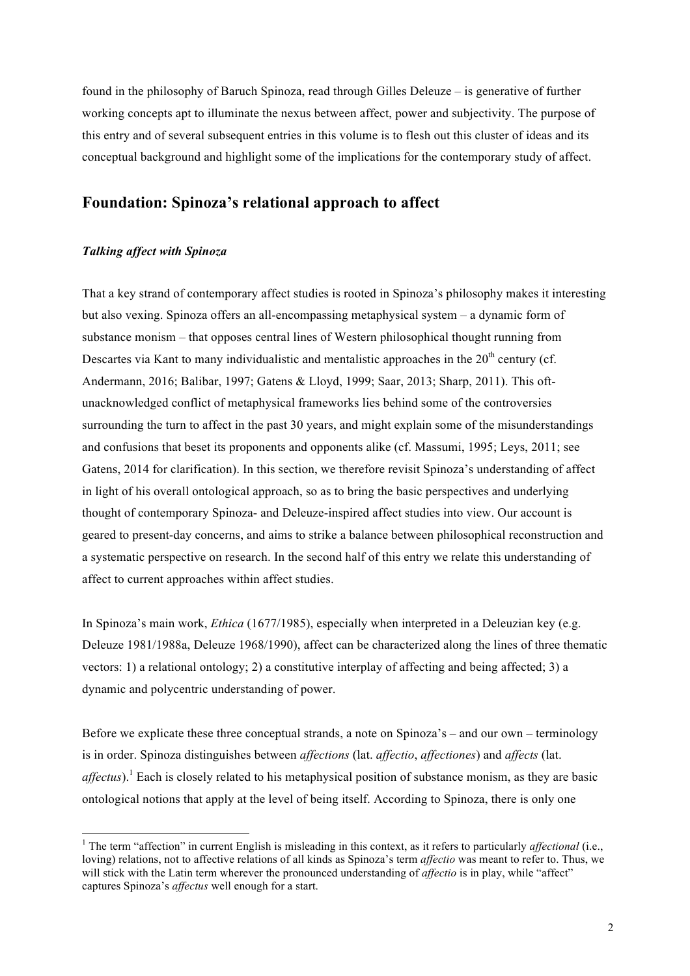found in the philosophy of Baruch Spinoza, read through Gilles Deleuze – is generative of further working concepts apt to illuminate the nexus between affect, power and subjectivity. The purpose of this entry and of several subsequent entries in this volume is to flesh out this cluster of ideas and its conceptual background and highlight some of the implications for the contemporary study of affect.

# **Foundation: Spinoza's relational approach to affect**

### *Talking affect with Spinoza*

That a key strand of contemporary affect studies is rooted in Spinoza's philosophy makes it interesting but also vexing. Spinoza offers an all-encompassing metaphysical system – a dynamic form of substance monism – that opposes central lines of Western philosophical thought running from Descartes via Kant to many individualistic and mentalistic approaches in the  $20<sup>th</sup>$  century (cf. Andermann, 2016; Balibar, 1997; Gatens & Lloyd, 1999; Saar, 2013; Sharp, 2011). This oftunacknowledged conflict of metaphysical frameworks lies behind some of the controversies surrounding the turn to affect in the past 30 years, and might explain some of the misunderstandings and confusions that beset its proponents and opponents alike (cf. Massumi, 1995; Leys, 2011; see Gatens, 2014 for clarification). In this section, we therefore revisit Spinoza's understanding of affect in light of his overall ontological approach, so as to bring the basic perspectives and underlying thought of contemporary Spinoza- and Deleuze-inspired affect studies into view. Our account is geared to present-day concerns, and aims to strike a balance between philosophical reconstruction and a systematic perspective on research. In the second half of this entry we relate this understanding of affect to current approaches within affect studies.

In Spinoza's main work, *Ethica* (1677/1985), especially when interpreted in a Deleuzian key (e.g. Deleuze 1981/1988a, Deleuze 1968/1990), affect can be characterized along the lines of three thematic vectors: 1) a relational ontology; 2) a constitutive interplay of affecting and being affected; 3) a dynamic and polycentric understanding of power.

Before we explicate these three conceptual strands, a note on Spinoza's – and our own – terminology is in order. Spinoza distinguishes between *affections* (lat. *affectio*, *affectiones*) and *affects* (lat. *affectus*). Each is closely related to his metaphysical position of substance monism, as they are basic ontological notions that apply at the level of being itself. According to Spinoza, there is only one

<sup>&</sup>lt;sup>1</sup> The term "affection" in current English is misleading in this context, as it refers to particularly *affectional* (i.e., loving) relations, not to affective relations of all kinds as Spinoza's term *affectio* was meant to refer to. Thus, we will stick with the Latin term wherever the pronounced understanding of *affectio* is in play, while "affect" captures Spinoza's *affectus* well enough for a start.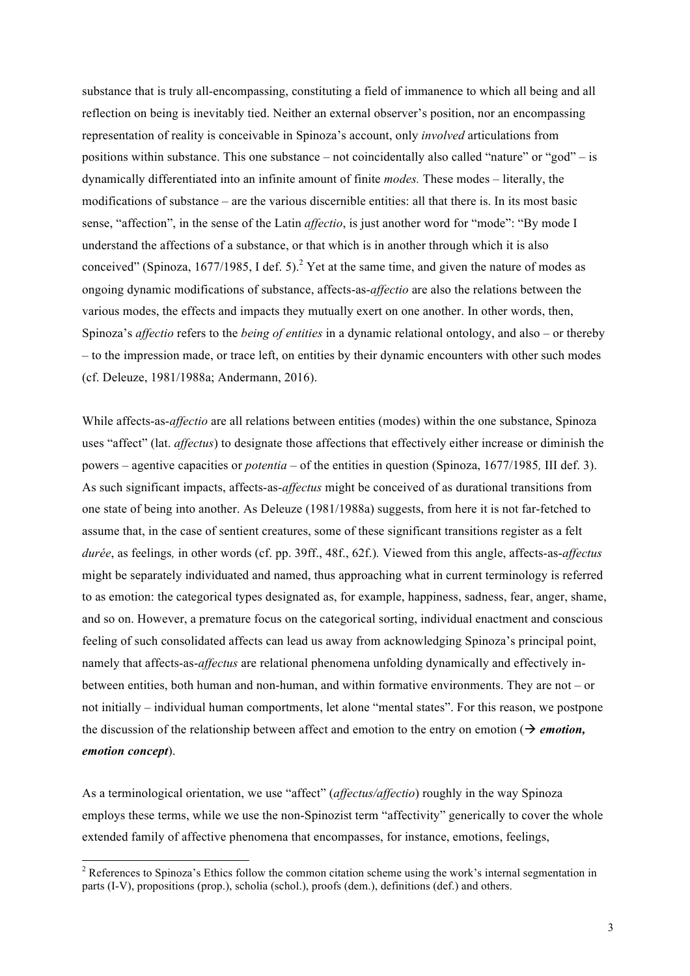substance that is truly all-encompassing, constituting a field of immanence to which all being and all reflection on being is inevitably tied. Neither an external observer's position, nor an encompassing representation of reality is conceivable in Spinoza's account, only *involved* articulations from positions within substance. This one substance – not coincidentally also called "nature" or "god" – is dynamically differentiated into an infinite amount of finite *modes.* These modes – literally, the modifications of substance – are the various discernible entities: all that there is. In its most basic sense, "affection", in the sense of the Latin *affectio*, is just another word for "mode": "By mode I understand the affections of a substance, or that which is in another through which it is also conceived" (Spinoza,  $1677/1985$ , I def. 5).<sup>2</sup> Yet at the same time, and given the nature of modes as ongoing dynamic modifications of substance, affects-as-*affectio* are also the relations between the various modes, the effects and impacts they mutually exert on one another. In other words, then, Spinoza's *affectio* refers to the *being of entities* in a dynamic relational ontology, and also – or thereby – to the impression made, or trace left, on entities by their dynamic encounters with other such modes (cf. Deleuze, 1981/1988a; Andermann, 2016).

While affects-as-*affectio* are all relations between entities (modes) within the one substance, Spinoza uses "affect" (lat. *affectus*) to designate those affections that effectively either increase or diminish the powers – agentive capacities or *potentia* – of the entities in question (Spinoza, 1677/1985*,* III def. 3). As such significant impacts, affects-as-*affectus* might be conceived of as durational transitions from one state of being into another. As Deleuze (1981/1988a) suggests, from here it is not far-fetched to assume that, in the case of sentient creatures, some of these significant transitions register as a felt *durée*, as feelings*,* in other words (cf. pp. 39ff., 48f., 62f.)*.* Viewed from this angle, affects-as-*affectus* might be separately individuated and named, thus approaching what in current terminology is referred to as emotion: the categorical types designated as, for example, happiness, sadness, fear, anger, shame, and so on. However, a premature focus on the categorical sorting, individual enactment and conscious feeling of such consolidated affects can lead us away from acknowledging Spinoza's principal point, namely that affects-as-*affectus* are relational phenomena unfolding dynamically and effectively inbetween entities, both human and non-human, and within formative environments. They are not – or not initially – individual human comportments, let alone "mental states". For this reason, we postpone the discussion of the relationship between affect and emotion to the entry on emotion ( $\rightarrow$  *emotion*, *emotion concept*).

As a terminological orientation, we use "affect" (*affectus/affectio*) roughly in the way Spinoza employs these terms, while we use the non-Spinozist term "affectivity" generically to cover the whole extended family of affective phenomena that encompasses, for instance, emotions, feelings,

<sup>&</sup>lt;sup>2</sup> References to Spinoza's Ethics follow the common citation scheme using the work's internal segmentation in parts (I-V), propositions (prop.), scholia (schol.), proofs (dem.), definitions (def.) and others.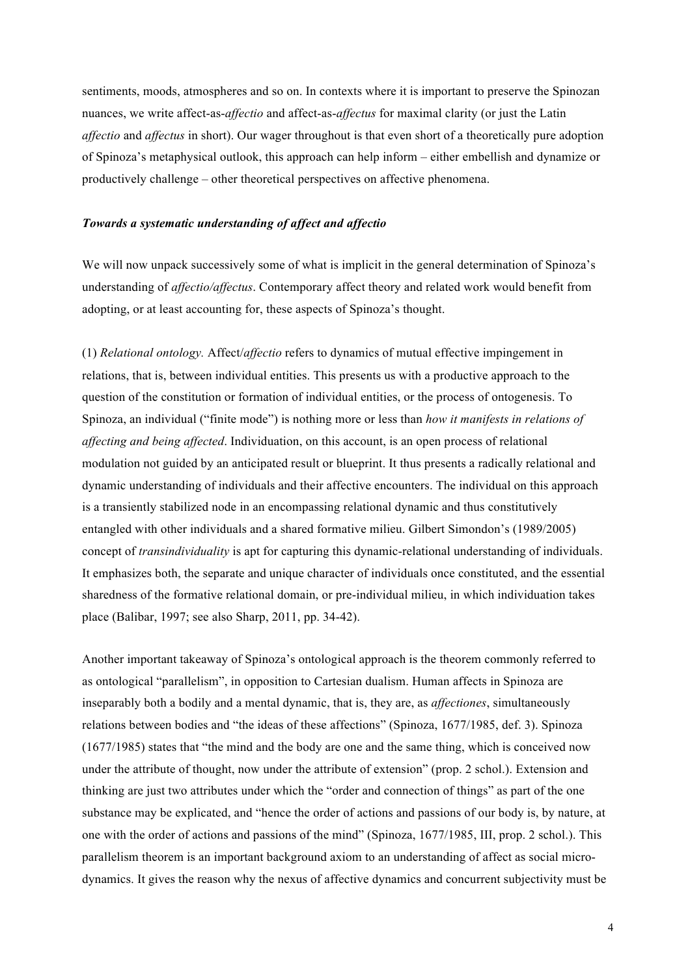sentiments, moods, atmospheres and so on. In contexts where it is important to preserve the Spinozan nuances, we write affect-as-*affectio* and affect-as-*affectus* for maximal clarity (or just the Latin *affectio* and *affectus* in short). Our wager throughout is that even short of a theoretically pure adoption of Spinoza's metaphysical outlook, this approach can help inform – either embellish and dynamize or productively challenge – other theoretical perspectives on affective phenomena.

### *Towards a systematic understanding of affect and affectio*

We will now unpack successively some of what is implicit in the general determination of Spinoza's understanding of *affectio/affectus*. Contemporary affect theory and related work would benefit from adopting, or at least accounting for, these aspects of Spinoza's thought.

(1) *Relational ontology.* Affect/*affectio* refers to dynamics of mutual effective impingement in relations, that is, between individual entities. This presents us with a productive approach to the question of the constitution or formation of individual entities, or the process of ontogenesis. To Spinoza, an individual ("finite mode") is nothing more or less than *how it manifests in relations of affecting and being affected*. Individuation, on this account, is an open process of relational modulation not guided by an anticipated result or blueprint. It thus presents a radically relational and dynamic understanding of individuals and their affective encounters. The individual on this approach is a transiently stabilized node in an encompassing relational dynamic and thus constitutively entangled with other individuals and a shared formative milieu. Gilbert Simondon's (1989/2005) concept of *transindividuality* is apt for capturing this dynamic-relational understanding of individuals. It emphasizes both, the separate and unique character of individuals once constituted, and the essential sharedness of the formative relational domain, or pre-individual milieu, in which individuation takes place (Balibar, 1997; see also Sharp, 2011, pp. 34-42).

Another important takeaway of Spinoza's ontological approach is the theorem commonly referred to as ontological "parallelism", in opposition to Cartesian dualism. Human affects in Spinoza are inseparably both a bodily and a mental dynamic, that is, they are, as *affectiones*, simultaneously relations between bodies and "the ideas of these affections" (Spinoza, 1677/1985, def. 3). Spinoza (1677/1985) states that "the mind and the body are one and the same thing, which is conceived now under the attribute of thought, now under the attribute of extension" (prop. 2 schol.). Extension and thinking are just two attributes under which the "order and connection of things" as part of the one substance may be explicated, and "hence the order of actions and passions of our body is, by nature, at one with the order of actions and passions of the mind" (Spinoza, 1677/1985, III, prop. 2 schol.). This parallelism theorem is an important background axiom to an understanding of affect as social microdynamics. It gives the reason why the nexus of affective dynamics and concurrent subjectivity must be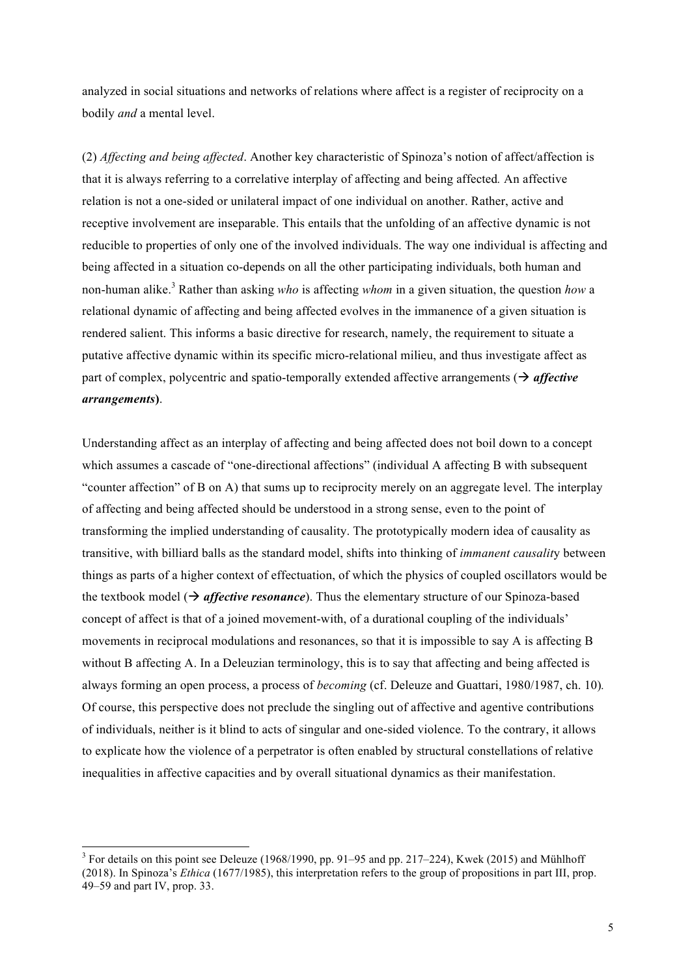analyzed in social situations and networks of relations where affect is a register of reciprocity on a bodily *and* a mental level.

(2) *Affecting and being affected*. Another key characteristic of Spinoza's notion of affect/affection is that it is always referring to a correlative interplay of affecting and being affected*.* An affective relation is not a one-sided or unilateral impact of one individual on another. Rather, active and receptive involvement are inseparable. This entails that the unfolding of an affective dynamic is not reducible to properties of only one of the involved individuals. The way one individual is affecting and being affected in a situation co-depends on all the other participating individuals, both human and non-human alike. <sup>3</sup> Rather than asking *who* is affecting *whom* in a given situation, the question *how* a relational dynamic of affecting and being affected evolves in the immanence of a given situation is rendered salient. This informs a basic directive for research, namely, the requirement to situate a putative affective dynamic within its specific micro-relational milieu, and thus investigate affect as part of complex, polycentric and spatio-temporally extended affective arrangements  $\rightarrow$  *affective arrangements***)**.

Understanding affect as an interplay of affecting and being affected does not boil down to a concept which assumes a cascade of "one-directional affections" (individual A affecting B with subsequent "counter affection" of B on A) that sums up to reciprocity merely on an aggregate level. The interplay of affecting and being affected should be understood in a strong sense, even to the point of transforming the implied understanding of causality. The prototypically modern idea of causality as transitive, with billiard balls as the standard model, shifts into thinking of *immanent causalit*y between things as parts of a higher context of effectuation, of which the physics of coupled oscillators would be the textbook model  $\leftrightarrow$  *affective resonance*). Thus the elementary structure of our Spinoza-based concept of affect is that of a joined movement-with, of a durational coupling of the individuals' movements in reciprocal modulations and resonances, so that it is impossible to say A is affecting B without B affecting A. In a Deleuzian terminology, this is to say that affecting and being affected is always forming an open process, a process of *becoming* (cf. Deleuze and Guattari, 1980/1987, ch. 10)*.* Of course, this perspective does not preclude the singling out of affective and agentive contributions of individuals, neither is it blind to acts of singular and one-sided violence. To the contrary, it allows to explicate how the violence of a perpetrator is often enabled by structural constellations of relative inequalities in affective capacities and by overall situational dynamics as their manifestation.

<sup>&</sup>lt;sup>3</sup> For details on this point see Deleuze (1968/1990, pp. 91–95 and pp. 217–224), Kwek (2015) and Mühlhoff (2018). In Spinoza's *Ethica* (1677/1985), this interpretation refers to the group of propositions in part III, prop. 49–59 and part IV, prop. 33.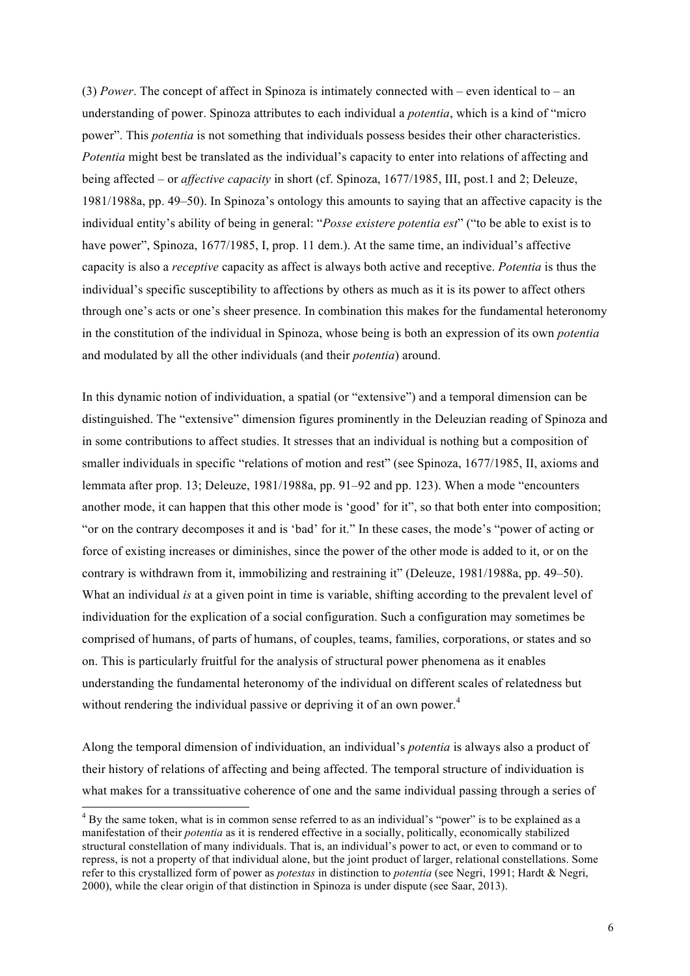(3) *Power*. The concept of affect in Spinoza is intimately connected with – even identical to – an understanding of power. Spinoza attributes to each individual a *potentia*, which is a kind of "micro power". This *potentia* is not something that individuals possess besides their other characteristics. *Potentia* might best be translated as the individual's capacity to enter into relations of affecting and being affected – or *affective capacity* in short (cf. Spinoza, 1677/1985, III, post.1 and 2; Deleuze, 1981/1988a, pp. 49–50). In Spinoza's ontology this amounts to saying that an affective capacity is the individual entity's ability of being in general: "*Posse existere potentia est*" ("to be able to exist is to have power", Spinoza, 1677/1985, I, prop. 11 dem.). At the same time, an individual's affective capacity is also a *receptive* capacity as affect is always both active and receptive. *Potentia* is thus the individual's specific susceptibility to affections by others as much as it is its power to affect others through one's acts or one's sheer presence. In combination this makes for the fundamental heteronomy in the constitution of the individual in Spinoza, whose being is both an expression of its own *potentia* and modulated by all the other individuals (and their *potentia*) around.

In this dynamic notion of individuation, a spatial (or "extensive") and a temporal dimension can be distinguished. The "extensive" dimension figures prominently in the Deleuzian reading of Spinoza and in some contributions to affect studies. It stresses that an individual is nothing but a composition of smaller individuals in specific "relations of motion and rest" (see Spinoza, 1677/1985, II, axioms and lemmata after prop. 13; Deleuze, 1981/1988a, pp. 91–92 and pp. 123). When a mode "encounters another mode, it can happen that this other mode is 'good' for it", so that both enter into composition; "or on the contrary decomposes it and is 'bad' for it." In these cases, the mode's "power of acting or force of existing increases or diminishes, since the power of the other mode is added to it, or on the contrary is withdrawn from it, immobilizing and restraining it" (Deleuze, 1981/1988a, pp. 49–50). What an individual *is* at a given point in time is variable, shifting according to the prevalent level of individuation for the explication of a social configuration. Such a configuration may sometimes be comprised of humans, of parts of humans, of couples, teams, families, corporations, or states and so on. This is particularly fruitful for the analysis of structural power phenomena as it enables understanding the fundamental heteronomy of the individual on different scales of relatedness but without rendering the individual passive or depriving it of an own power.<sup>4</sup>

Along the temporal dimension of individuation, an individual's *potentia* is always also a product of their history of relations of affecting and being affected. The temporal structure of individuation is what makes for a transsituative coherence of one and the same individual passing through a series of

<sup>&</sup>lt;sup>4</sup> By the same token, what is in common sense referred to as an individual's "power" is to be explained as a manifestation of their *potentia* as it is rendered effective in a socially, politically, economically stabilized structural constellation of many individuals. That is, an individual's power to act, or even to command or to repress, is not a property of that individual alone, but the joint product of larger, relational constellations. Some refer to this crystallized form of power as *potestas* in distinction to *potentia* (see Negri, 1991; Hardt & Negri, 2000), while the clear origin of that distinction in Spinoza is under dispute (see Saar, 2013).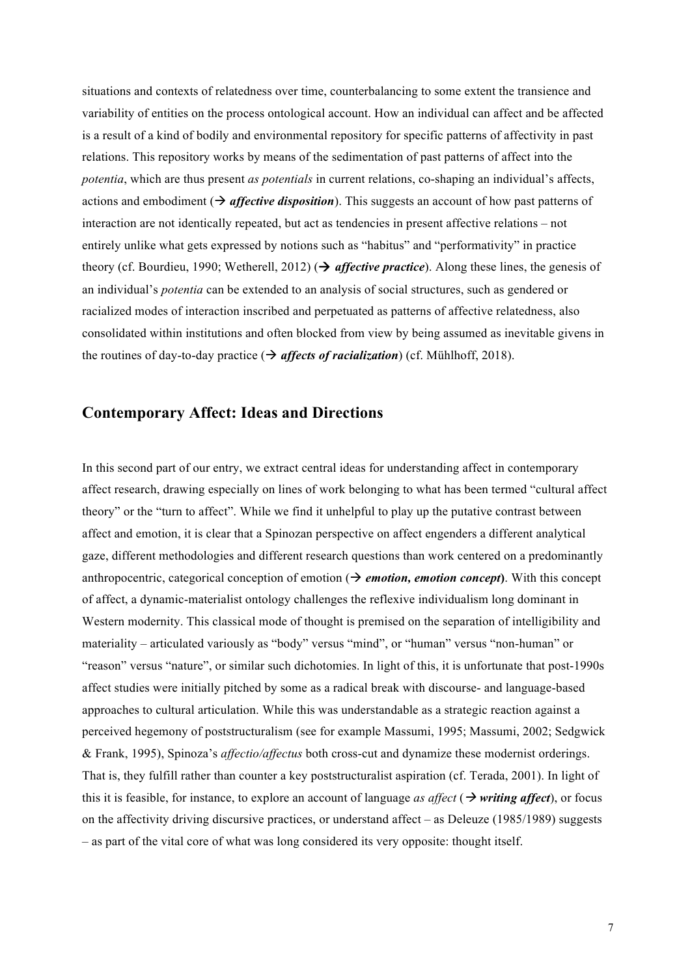situations and contexts of relatedness over time, counterbalancing to some extent the transience and variability of entities on the process ontological account. How an individual can affect and be affected is a result of a kind of bodily and environmental repository for specific patterns of affectivity in past relations. This repository works by means of the sedimentation of past patterns of affect into the *potentia*, which are thus present *as potentials* in current relations, co-shaping an individual's affects, actions and embodiment  $\rightarrow$  *affective disposition*). This suggests an account of how past patterns of interaction are not identically repeated, but act as tendencies in present affective relations – not entirely unlike what gets expressed by notions such as "habitus" and "performativity" in practice theory (cf. Bourdieu, 1990; Wetherell, 2012) ( $\rightarrow$  *affective practice*). Along these lines, the genesis of an individual's *potentia* can be extended to an analysis of social structures, such as gendered or racialized modes of interaction inscribed and perpetuated as patterns of affective relatedness, also consolidated within institutions and often blocked from view by being assumed as inevitable givens in the routines of day-to-day practice ( $\rightarrow$  *affects of racialization*) (cf. Mühlhoff, 2018).

# **Contemporary Affect: Ideas and Directions**

In this second part of our entry, we extract central ideas for understanding affect in contemporary affect research, drawing especially on lines of work belonging to what has been termed "cultural affect theory" or the "turn to affect". While we find it unhelpful to play up the putative contrast between affect and emotion, it is clear that a Spinozan perspective on affect engenders a different analytical gaze, different methodologies and different research questions than work centered on a predominantly anthropocentric, categorical conception of emotion  $(\rightarrow \text{emotion}, \text{emotion} \text{ concept})$ . With this concept of affect, a dynamic-materialist ontology challenges the reflexive individualism long dominant in Western modernity. This classical mode of thought is premised on the separation of intelligibility and materiality – articulated variously as "body" versus "mind", or "human" versus "non-human" or "reason" versus "nature", or similar such dichotomies. In light of this, it is unfortunate that post-1990s affect studies were initially pitched by some as a radical break with discourse- and language-based approaches to cultural articulation. While this was understandable as a strategic reaction against a perceived hegemony of poststructuralism (see for example Massumi, 1995; Massumi, 2002; Sedgwick & Frank, 1995), Spinoza's *affectio/affectus* both cross-cut and dynamize these modernist orderings. That is, they fulfill rather than counter a key poststructuralist aspiration (cf. Terada, 2001). In light of this it is feasible, for instance, to explore an account of language *as affect*  $(\rightarrow$  *writing affect*), or focus on the affectivity driving discursive practices, or understand affect – as Deleuze (1985/1989) suggests – as part of the vital core of what was long considered its very opposite: thought itself.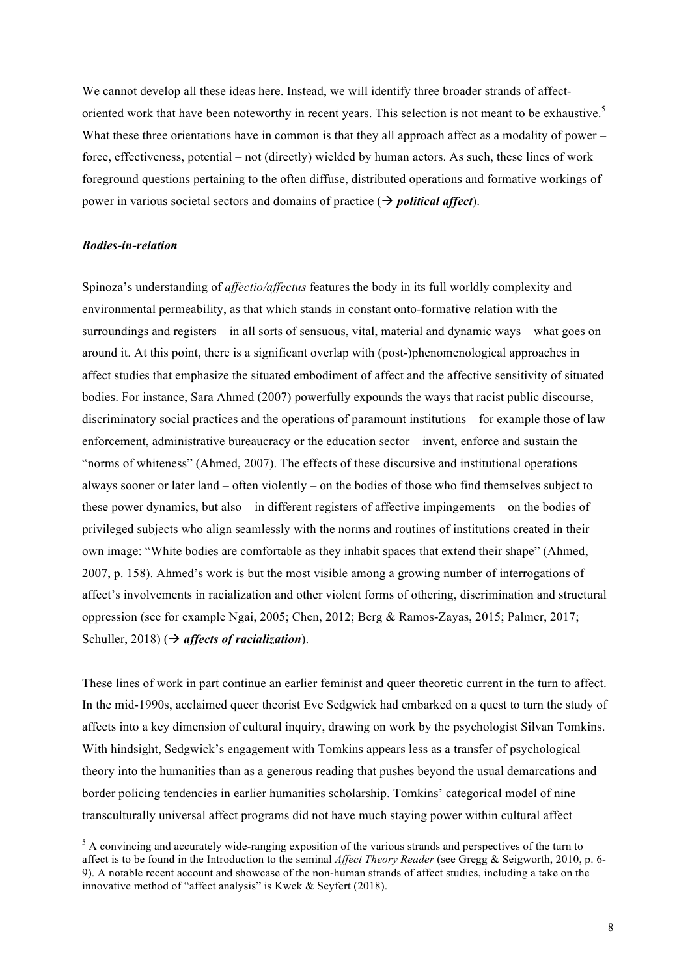We cannot develop all these ideas here. Instead, we will identify three broader strands of affectoriented work that have been noteworthy in recent years. This selection is not meant to be exhaustive.<sup>5</sup> What these three orientations have in common is that they all approach affect as a modality of power – force, effectiveness, potential – not (directly) wielded by human actors. As such, these lines of work foreground questions pertaining to the often diffuse, distributed operations and formative workings of power in various societal sectors and domains of practice  $(\rightarrow$  *political affect*).

#### *Bodies-in-relation*

Spinoza's understanding of *affectio/affectus* features the body in its full worldly complexity and environmental permeability, as that which stands in constant onto-formative relation with the surroundings and registers – in all sorts of sensuous, vital, material and dynamic ways – what goes on around it. At this point, there is a significant overlap with (post-)phenomenological approaches in affect studies that emphasize the situated embodiment of affect and the affective sensitivity of situated bodies. For instance, Sara Ahmed (2007) powerfully expounds the ways that racist public discourse, discriminatory social practices and the operations of paramount institutions – for example those of law enforcement, administrative bureaucracy or the education sector – invent, enforce and sustain the "norms of whiteness" (Ahmed, 2007). The effects of these discursive and institutional operations always sooner or later land – often violently – on the bodies of those who find themselves subject to these power dynamics, but also – in different registers of affective impingements – on the bodies of privileged subjects who align seamlessly with the norms and routines of institutions created in their own image: "White bodies are comfortable as they inhabit spaces that extend their shape" (Ahmed, 2007, p. 158). Ahmed's work is but the most visible among a growing number of interrogations of affect's involvements in racialization and other violent forms of othering, discrimination and structural oppression (see for example Ngai, 2005; Chen, 2012; Berg & Ramos-Zayas, 2015; Palmer, 2017; Schuller, 2018) ( $\rightarrow$  *affects of racialization*).

These lines of work in part continue an earlier feminist and queer theoretic current in the turn to affect. In the mid-1990s, acclaimed queer theorist Eve Sedgwick had embarked on a quest to turn the study of affects into a key dimension of cultural inquiry, drawing on work by the psychologist Silvan Tomkins. With hindsight, Sedgwick's engagement with Tomkins appears less as a transfer of psychological theory into the humanities than as a generous reading that pushes beyond the usual demarcations and border policing tendencies in earlier humanities scholarship. Tomkins' categorical model of nine transculturally universal affect programs did not have much staying power within cultural affect

<sup>&</sup>lt;sup>5</sup> A convincing and accurately wide-ranging exposition of the various strands and perspectives of the turn to affect is to be found in the Introduction to the seminal *Affect Theory Reader* (see Gregg & Seigworth, 2010, p. 6- 9). A notable recent account and showcase of the non-human strands of affect studies, including a take on the innovative method of "affect analysis" is Kwek & Seyfert (2018).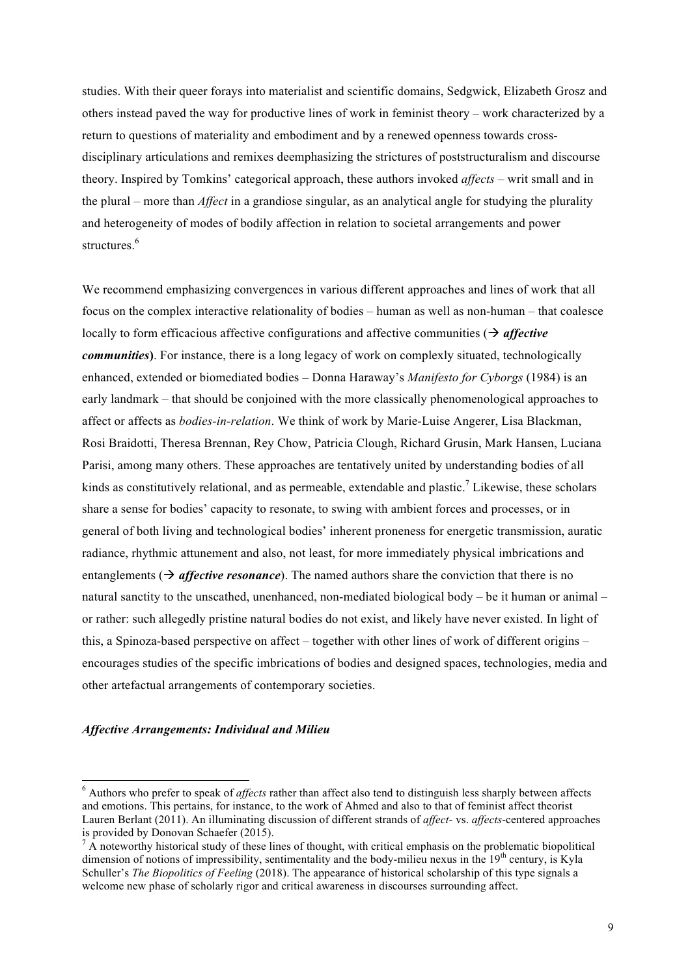studies. With their queer forays into materialist and scientific domains, Sedgwick, Elizabeth Grosz and others instead paved the way for productive lines of work in feminist theory – work characterized by a return to questions of materiality and embodiment and by a renewed openness towards crossdisciplinary articulations and remixes deemphasizing the strictures of poststructuralism and discourse theory. Inspired by Tomkins' categorical approach, these authors invoked *affects* – writ small and in the plural – more than *Affect* in a grandiose singular, as an analytical angle for studying the plurality and heterogeneity of modes of bodily affection in relation to societal arrangements and power structures. 6

We recommend emphasizing convergences in various different approaches and lines of work that all focus on the complex interactive relationality of bodies – human as well as non-human – that coalesce locally to form efficacious affective configurations and affective communities ( $\rightarrow$  *affective communities***)**. For instance, there is a long legacy of work on complexly situated, technologically enhanced, extended or biomediated bodies – Donna Haraway's *Manifesto for Cyborgs* (1984) is an early landmark – that should be conjoined with the more classically phenomenological approaches to affect or affects as *bodies-in-relation*. We think of work by Marie-Luise Angerer, Lisa Blackman, Rosi Braidotti, Theresa Brennan, Rey Chow, Patricia Clough, Richard Grusin, Mark Hansen, Luciana Parisi, among many others. These approaches are tentatively united by understanding bodies of all kinds as constitutively relational, and as permeable, extendable and plastic.<sup>7</sup> Likewise, these scholars share a sense for bodies' capacity to resonate, to swing with ambient forces and processes, or in general of both living and technological bodies' inherent proneness for energetic transmission, auratic radiance, rhythmic attunement and also, not least, for more immediately physical imbrications and entanglements ( $\rightarrow$  *affective resonance*). The named authors share the conviction that there is no natural sanctity to the unscathed, unenhanced, non-mediated biological body – be it human or animal – or rather: such allegedly pristine natural bodies do not exist, and likely have never existed. In light of this, a Spinoza-based perspective on affect – together with other lines of work of different origins – encourages studies of the specific imbrications of bodies and designed spaces, technologies, media and other artefactual arrangements of contemporary societies.

### *Affective Arrangements: Individual and Milieu*

 <sup>6</sup> Authors who prefer to speak of *affects* rather than affect also tend to distinguish less sharply between affects and emotions. This pertains, for instance, to the work of Ahmed and also to that of feminist affect theorist Lauren Berlant (2011). An illuminating discussion of different strands of *affect-* vs. *affects*-centered approaches is provided by Donovan Schaefer (2015).

 $\overline{7}$  A noteworthy historical study of these lines of thought, with critical emphasis on the problematic biopolitical dimension of notions of impressibility, sentimentality and the body-milieu nexus in the  $19<sup>th</sup>$  century, is Kyla Schuller's *The Biopolitics of Feeling* (2018). The appearance of historical scholarship of this type signals a welcome new phase of scholarly rigor and critical awareness in discourses surrounding affect.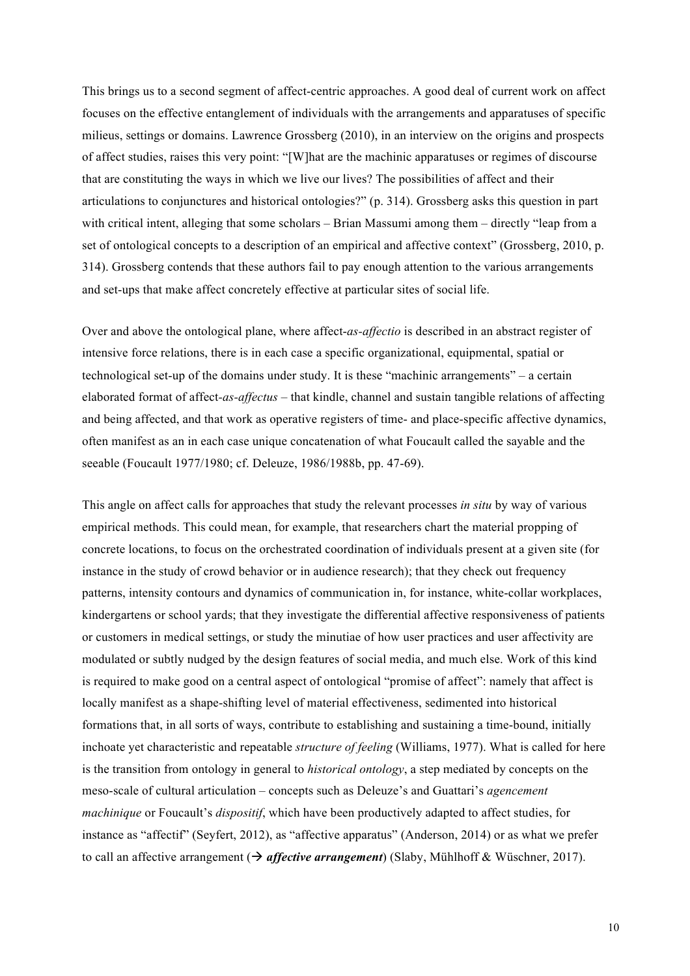This brings us to a second segment of affect-centric approaches. A good deal of current work on affect focuses on the effective entanglement of individuals with the arrangements and apparatuses of specific milieus, settings or domains. Lawrence Grossberg (2010), in an interview on the origins and prospects of affect studies, raises this very point: "[W]hat are the machinic apparatuses or regimes of discourse that are constituting the ways in which we live our lives? The possibilities of affect and their articulations to conjunctures and historical ontologies?" (p. 314). Grossberg asks this question in part with critical intent, alleging that some scholars – Brian Massumi among them – directly "leap from a set of ontological concepts to a description of an empirical and affective context" (Grossberg, 2010, p. 314). Grossberg contends that these authors fail to pay enough attention to the various arrangements and set-ups that make affect concretely effective at particular sites of social life.

Over and above the ontological plane, where affect-*as-affectio* is described in an abstract register of intensive force relations, there is in each case a specific organizational, equipmental, spatial or technological set-up of the domains under study. It is these "machinic arrangements" – a certain elaborated format of affect*-as-affectus* – that kindle, channel and sustain tangible relations of affecting and being affected, and that work as operative registers of time- and place-specific affective dynamics, often manifest as an in each case unique concatenation of what Foucault called the sayable and the seeable (Foucault 1977/1980; cf. Deleuze, 1986/1988b, pp. 47-69).

This angle on affect calls for approaches that study the relevant processes *in situ* by way of various empirical methods. This could mean, for example, that researchers chart the material propping of concrete locations, to focus on the orchestrated coordination of individuals present at a given site (for instance in the study of crowd behavior or in audience research); that they check out frequency patterns, intensity contours and dynamics of communication in, for instance, white-collar workplaces, kindergartens or school yards; that they investigate the differential affective responsiveness of patients or customers in medical settings, or study the minutiae of how user practices and user affectivity are modulated or subtly nudged by the design features of social media, and much else. Work of this kind is required to make good on a central aspect of ontological "promise of affect": namely that affect is locally manifest as a shape-shifting level of material effectiveness, sedimented into historical formations that, in all sorts of ways, contribute to establishing and sustaining a time-bound, initially inchoate yet characteristic and repeatable *structure of feeling* (Williams, 1977). What is called for here is the transition from ontology in general to *historical ontology*, a step mediated by concepts on the meso-scale of cultural articulation – concepts such as Deleuze's and Guattari's *agencement machinique* or Foucault's *dispositif*, which have been productively adapted to affect studies, for instance as "affectif" (Seyfert, 2012), as "affective apparatus" (Anderson, 2014) or as what we prefer to call an affective arrangement  $(\rightarrow$  *affective arrangement*) (Slaby, Mühlhoff & Wüschner, 2017).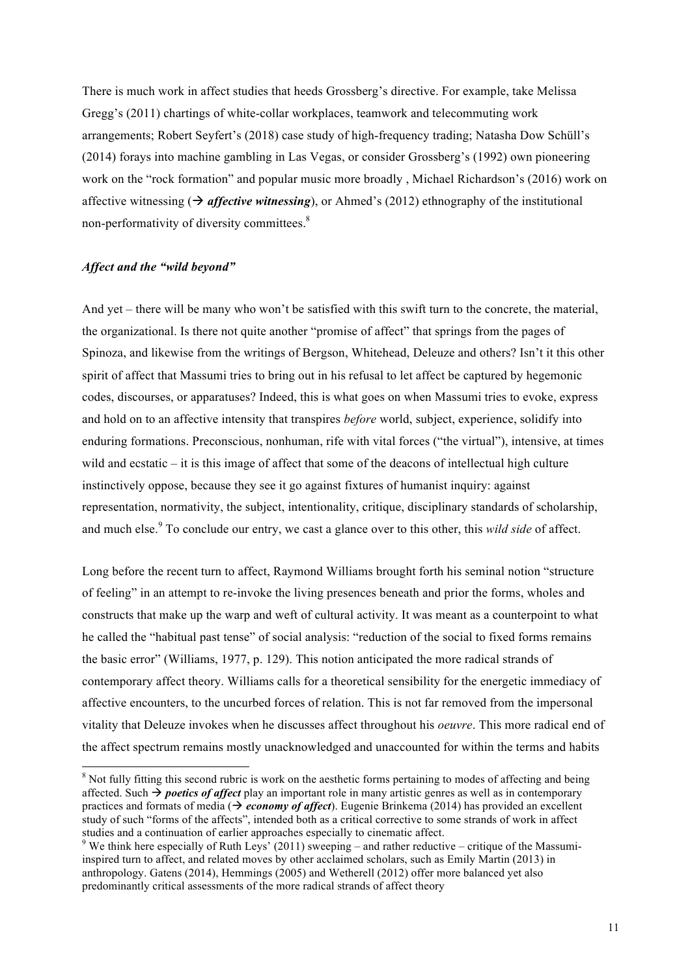There is much work in affect studies that heeds Grossberg's directive. For example, take Melissa Gregg's (2011) chartings of white-collar workplaces, teamwork and telecommuting work arrangements; Robert Seyfert's (2018) case study of high-frequency trading; Natasha Dow Schüll's (2014) forays into machine gambling in Las Vegas, or consider Grossberg's (1992) own pioneering work on the "rock formation" and popular music more broadly , Michael Richardson's (2016) work on affective witnessing ( $\rightarrow$  *affective witnessing*), or Ahmed's (2012) ethnography of the institutional non-performativity of diversity committees.8

#### *Affect and the "wild beyond"*

And yet – there will be many who won't be satisfied with this swift turn to the concrete, the material, the organizational. Is there not quite another "promise of affect" that springs from the pages of Spinoza, and likewise from the writings of Bergson, Whitehead, Deleuze and others? Isn't it this other spirit of affect that Massumi tries to bring out in his refusal to let affect be captured by hegemonic codes, discourses, or apparatuses? Indeed, this is what goes on when Massumi tries to evoke, express and hold on to an affective intensity that transpires *before* world, subject, experience, solidify into enduring formations. Preconscious, nonhuman, rife with vital forces ("the virtual"), intensive, at times wild and ecstatic – it is this image of affect that some of the deacons of intellectual high culture instinctively oppose, because they see it go against fixtures of humanist inquiry: against representation, normativity, the subject, intentionality, critique, disciplinary standards of scholarship, and much else. <sup>9</sup> To conclude our entry, we cast a glance over to this other, this *wild side* of affect.

Long before the recent turn to affect, Raymond Williams brought forth his seminal notion "structure of feeling" in an attempt to re-invoke the living presences beneath and prior the forms, wholes and constructs that make up the warp and weft of cultural activity. It was meant as a counterpoint to what he called the "habitual past tense" of social analysis: "reduction of the social to fixed forms remains the basic error" (Williams, 1977, p. 129). This notion anticipated the more radical strands of contemporary affect theory. Williams calls for a theoretical sensibility for the energetic immediacy of affective encounters, to the uncurbed forces of relation. This is not far removed from the impersonal vitality that Deleuze invokes when he discusses affect throughout his *oeuvre*. This more radical end of the affect spectrum remains mostly unacknowledged and unaccounted for within the terms and habits

<sup>&</sup>lt;sup>8</sup> Not fully fitting this second rubric is work on the aesthetic forms pertaining to modes of affecting and being affected. Such  $\rightarrow$  *poetics of affect* play an important role in many artistic genres as well as in contemporary practices and formats of media (à *economy of affect*). Eugenie Brinkema (2014) has provided an excellent study of such "forms of the affects", intended both as a critical corrective to some strands of work in affect studies and a continuation of earlier approaches especially to cinematic affect.

<sup>&</sup>lt;sup>9</sup> We think here especially of Ruth Leys' (2011) sweeping – and rather reductive – critique of the Massumiinspired turn to affect, and related moves by other acclaimed scholars, such as Emily Martin (2013) in anthropology. Gatens (2014), Hemmings (2005) and Wetherell (2012) offer more balanced yet also predominantly critical assessments of the more radical strands of affect theory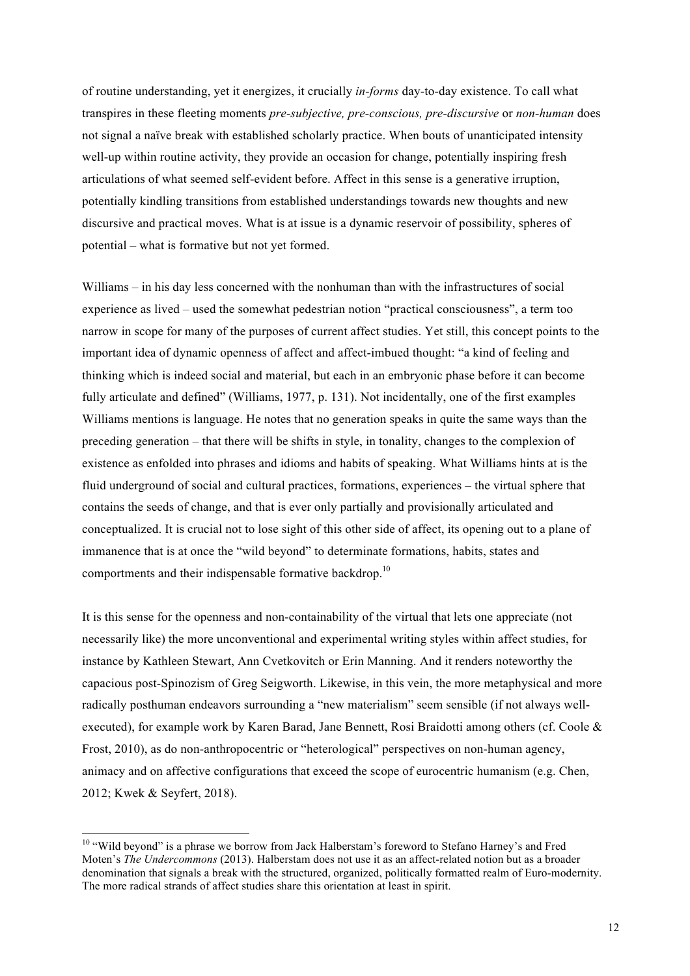of routine understanding, yet it energizes, it crucially *in-forms* day-to-day existence. To call what transpires in these fleeting moments *pre-subjective, pre-conscious, pre-discursive* or *non-human* does not signal a naïve break with established scholarly practice. When bouts of unanticipated intensity well-up within routine activity, they provide an occasion for change, potentially inspiring fresh articulations of what seemed self-evident before. Affect in this sense is a generative irruption, potentially kindling transitions from established understandings towards new thoughts and new discursive and practical moves. What is at issue is a dynamic reservoir of possibility, spheres of potential – what is formative but not yet formed.

Williams – in his day less concerned with the nonhuman than with the infrastructures of social experience as lived – used the somewhat pedestrian notion "practical consciousness", a term too narrow in scope for many of the purposes of current affect studies. Yet still, this concept points to the important idea of dynamic openness of affect and affect-imbued thought: "a kind of feeling and thinking which is indeed social and material, but each in an embryonic phase before it can become fully articulate and defined" (Williams, 1977, p. 131). Not incidentally, one of the first examples Williams mentions is language. He notes that no generation speaks in quite the same ways than the preceding generation – that there will be shifts in style, in tonality, changes to the complexion of existence as enfolded into phrases and idioms and habits of speaking. What Williams hints at is the fluid underground of social and cultural practices, formations, experiences – the virtual sphere that contains the seeds of change, and that is ever only partially and provisionally articulated and conceptualized. It is crucial not to lose sight of this other side of affect, its opening out to a plane of immanence that is at once the "wild beyond" to determinate formations, habits, states and comportments and their indispensable formative backdrop.<sup>10</sup>

It is this sense for the openness and non-containability of the virtual that lets one appreciate (not necessarily like) the more unconventional and experimental writing styles within affect studies, for instance by Kathleen Stewart, Ann Cvetkovitch or Erin Manning. And it renders noteworthy the capacious post-Spinozism of Greg Seigworth. Likewise, in this vein, the more metaphysical and more radically posthuman endeavors surrounding a "new materialism" seem sensible (if not always wellexecuted), for example work by Karen Barad, Jane Bennett, Rosi Braidotti among others (cf. Coole & Frost, 2010), as do non-anthropocentric or "heterological" perspectives on non-human agency, animacy and on affective configurations that exceed the scope of eurocentric humanism (e.g. Chen, 2012; Kwek & Seyfert, 2018).

<sup>&</sup>lt;sup>10</sup> "Wild beyond" is a phrase we borrow from Jack Halberstam's foreword to Stefano Harney's and Fred Moten's *The Undercommons* (2013). Halberstam does not use it as an affect-related notion but as a broader denomination that signals a break with the structured, organized, politically formatted realm of Euro-modernity. The more radical strands of affect studies share this orientation at least in spirit.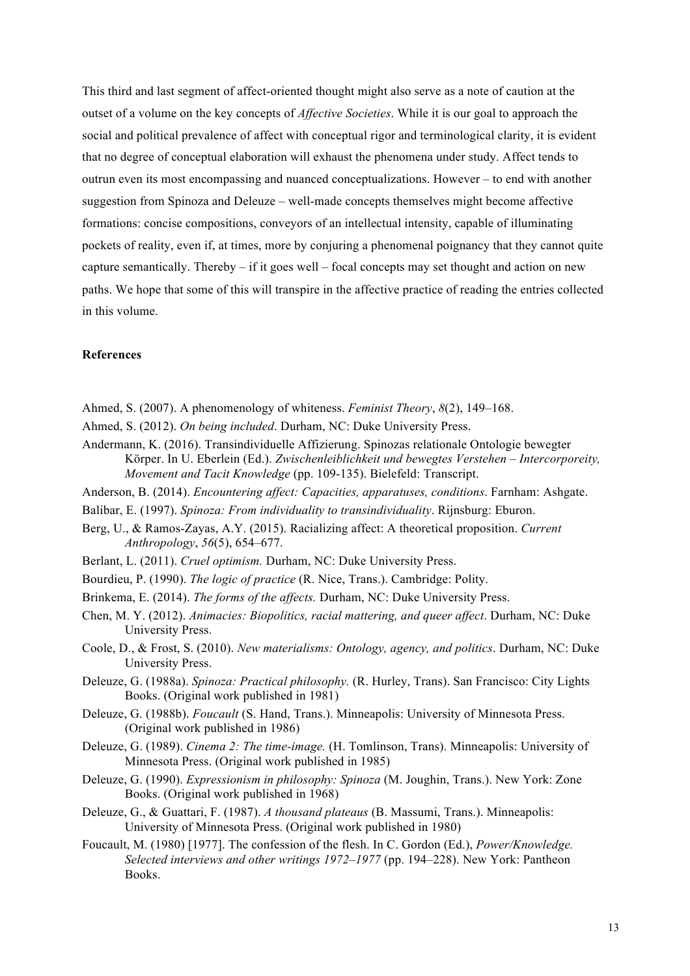This third and last segment of affect-oriented thought might also serve as a note of caution at the outset of a volume on the key concepts of *Affective Societies*. While it is our goal to approach the social and political prevalence of affect with conceptual rigor and terminological clarity, it is evident that no degree of conceptual elaboration will exhaust the phenomena under study. Affect tends to outrun even its most encompassing and nuanced conceptualizations. However – to end with another suggestion from Spinoza and Deleuze – well-made concepts themselves might become affective formations: concise compositions, conveyors of an intellectual intensity, capable of illuminating pockets of reality, even if, at times, more by conjuring a phenomenal poignancy that they cannot quite capture semantically. Thereby – if it goes well – focal concepts may set thought and action on new paths. We hope that some of this will transpire in the affective practice of reading the entries collected in this volume.

### **References**

- Ahmed, S. (2007). A phenomenology of whiteness. *Feminist Theory*, *8*(2), 149–168.
- Ahmed, S. (2012). *On being included*. Durham, NC: Duke University Press.
- Andermann, K. (2016). Transindividuelle Affizierung. Spinozas relationale Ontologie bewegter Körper. In U. Eberlein (Ed.). *Zwischenleiblichkeit und bewegtes Verstehen – Intercorporeity, Movement and Tacit Knowledge* (pp. 109-135). Bielefeld: Transcript.
- Anderson, B. (2014). *Encountering affect: Capacities, apparatuses, conditions*. Farnham: Ashgate.
- Balibar, E. (1997). *Spinoza: From individuality to transindividuality*. Rijnsburg: Eburon.
- Berg, U., & Ramos-Zayas, A.Y. (2015). Racializing affect: A theoretical proposition. *Current Anthropology*, *56*(5), 654–677.
- Berlant, L. (2011). *Cruel optimism.* Durham, NC: Duke University Press.
- Bourdieu, P. (1990). *The logic of practice* (R. Nice, Trans.). Cambridge: Polity.
- Brinkema, E. (2014). *The forms of the affects.* Durham, NC: Duke University Press.
- Chen, M. Y. (2012). *Animacies: Biopolitics, racial mattering, and queer affect*. Durham, NC: Duke University Press.
- Coole, D., & Frost, S. (2010). *New materialisms: Ontology, agency, and politics*. Durham, NC: Duke University Press.
- Deleuze, G. (1988a). *Spinoza: Practical philosophy.* (R. Hurley, Trans). San Francisco: City Lights Books. (Original work published in 1981)
- Deleuze, G. (1988b). *Foucault* (S. Hand, Trans.). Minneapolis: University of Minnesota Press. (Original work published in 1986)
- Deleuze, G. (1989). *Cinema 2: The time-image.* (H. Tomlinson, Trans). Minneapolis: University of Minnesota Press. (Original work published in 1985)
- Deleuze, G. (1990). *Expressionism in philosophy: Spinoza* (M. Joughin, Trans.). New York: Zone Books. (Original work published in 1968)
- Deleuze, G., & Guattari, F. (1987). *A thousand plateaus* (B. Massumi, Trans.). Minneapolis: University of Minnesota Press. (Original work published in 1980)
- Foucault, M. (1980) [1977]. The confession of the flesh. In C. Gordon (Ed.), *Power/Knowledge. Selected interviews and other writings 1972–1977* (pp. 194–228). New York: Pantheon Books.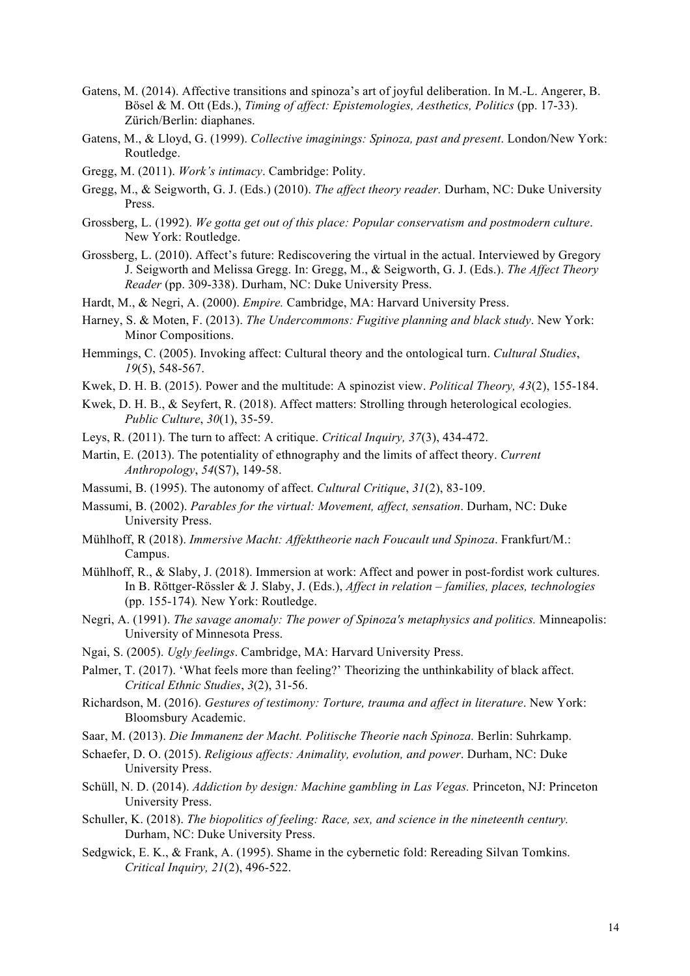- Gatens, M. (2014). Affective transitions and spinoza's art of joyful deliberation. In M.-L. Angerer, B. Bösel & M. Ott (Eds.), *Timing of affect: Epistemologies, Aesthetics, Politics* (pp. 17-33). Zürich/Berlin: diaphanes.
- Gatens, M., & Lloyd, G. (1999). *Collective imaginings: Spinoza, past and present*. London/New York: Routledge.
- Gregg, M. (2011). *Work's intimacy*. Cambridge: Polity.
- Gregg, M., & Seigworth, G. J. (Eds.) (2010). *The affect theory reader.* Durham, NC: Duke University Press.
- Grossberg, L. (1992). *We gotta get out of this place: Popular conservatism and postmodern culture*. New York: Routledge.
- Grossberg, L. (2010). Affect's future: Rediscovering the virtual in the actual. Interviewed by Gregory J. Seigworth and Melissa Gregg. In: Gregg, M., & Seigworth, G. J. (Eds.). *The Affect Theory Reader* (pp. 309-338). Durham, NC: Duke University Press.
- Hardt, M., & Negri, A. (2000). *Empire.* Cambridge, MA: Harvard University Press.
- Harney, S. & Moten, F. (2013). *The Undercommons: Fugitive planning and black study*. New York: Minor Compositions.
- Hemmings, C. (2005). Invoking affect: Cultural theory and the ontological turn. *Cultural Studies*, *19*(5), 548-567.
- Kwek, D. H. B. (2015). Power and the multitude: A spinozist view. *Political Theory, 43*(2), 155-184.
- Kwek, D. H. B., & Seyfert, R. (2018). Affect matters: Strolling through heterological ecologies. *Public Culture*, *30*(1), 35-59.
- Leys, R. (2011). The turn to affect: A critique. *Critical Inquiry, 37*(3), 434-472.
- Martin, E. (2013). The potentiality of ethnography and the limits of affect theory. *Current Anthropology*, *54*(S7), 149-58.
- Massumi, B. (1995). The autonomy of affect. *Cultural Critique*, *31*(2), 83-109.
- Massumi, B. (2002). *Parables for the virtual: Movement, affect, sensation*. Durham, NC: Duke University Press.
- Mühlhoff, R (2018). *Immersive Macht: Affekttheorie nach Foucault und Spinoza*. Frankfurt/M.: Campus.
- Mühlhoff, R., & Slaby, J. (2018). Immersion at work: Affect and power in post-fordist work cultures. In B. Röttger-Rössler & J. Slaby, J. (Eds.), *Affect in relation – families, places, technologies* (pp. 155-174)*.* New York: Routledge.
- Negri, A. (1991). *The savage anomaly: The power of Spinoza's metaphysics and politics.* Minneapolis: University of Minnesota Press.
- Ngai, S. (2005). *Ugly feelings*. Cambridge, MA: Harvard University Press.
- Palmer, T. (2017). 'What feels more than feeling?' Theorizing the unthinkability of black affect. *Critical Ethnic Studies*, *3*(2), 31-56.
- Richardson, M. (2016). *Gestures of testimony: Torture, trauma and affect in literature*. New York: Bloomsbury Academic.
- Saar, M. (2013). *Die Immanenz der Macht. Politische Theorie nach Spinoza.* Berlin: Suhrkamp.
- Schaefer, D. O. (2015). *Religious affects: Animality, evolution, and power*. Durham, NC: Duke University Press.
- Schüll, N. D. (2014). *Addiction by design: Machine gambling in Las Vegas.* Princeton, NJ: Princeton University Press.
- Schuller, K. (2018). *The biopolitics of feeling: Race, sex, and science in the nineteenth century.* Durham, NC: Duke University Press.
- Sedgwick, E. K., & Frank, A. (1995). Shame in the cybernetic fold: Rereading Silvan Tomkins. *Critical Inquiry, 21*(2), 496-522.